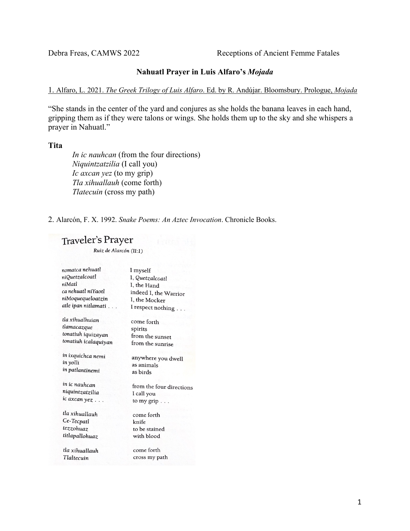Debra Freas, CAMWS 2022 Receptions of Ancient Femme Fatales

## **Nahuatl Prayer in Luis Alfaro's** *Mojada*

## 1. Alfaro, L. 2021. *The Greek Trilogy of Luis Alfaro*. Ed. by R. Andújar. Bloomsbury. Prologue, *Mojada*

"She stands in the center of the yard and conjures as she holds the banana leaves in each hand, gripping them as if they were talons or wings. She holds them up to the sky and she whispers a prayer in Nahuatl."

### **Tita**

*In ic nauhcan* (from the four directions) *Niquintzatzilia* (I call you) *Ic axcan yez* (to my grip) *Tla xihuallauh* (come forth) *Tlatecuin* (cross my path)

2. Alarcón, F. X. 1992. *Snake Poems: An Aztec Invocation*. Chronicle Books.

# **Traveler's Prayer**

Ruiz de Alarcón (II:1)

| nomatca nehuatl      | I myself                 |
|----------------------|--------------------------|
| niQuetzalcoatl       | I, Quetzalcoatl          |
| niMatl               | I, the Hand              |
| ca nehuatl niYaotl   | indeed I, the Warrior    |
| niMoquequeloatzin    | I, the Mocker            |
| atle ipan nitlamati  | I respect nothing        |
| tla xihualhuian      | come forth               |
| tlamacazque          | spirits                  |
| tonatiuh iquizayan   | from the sunset          |
| tonatiuh icalaquiyan | from the sunrise         |
| in ixquichca nemi    | anywhere you dwell       |
| in yolli             | as animals               |
| in patlantinemi      | as birds                 |
| in ic nauhcan        | from the four directions |
| niquintzatzilia      | I call you               |
| ic axcan yez         | to my grip               |
| tla xihuallauh       | come forth               |
| Ce-Tecpatl           | knife                    |
| tezzohuaz            | to be stained            |
| titlapallohuaz       | with blood               |
| tla xihuallauh       | come forth               |
| Tlaltecuin           | cross my path            |